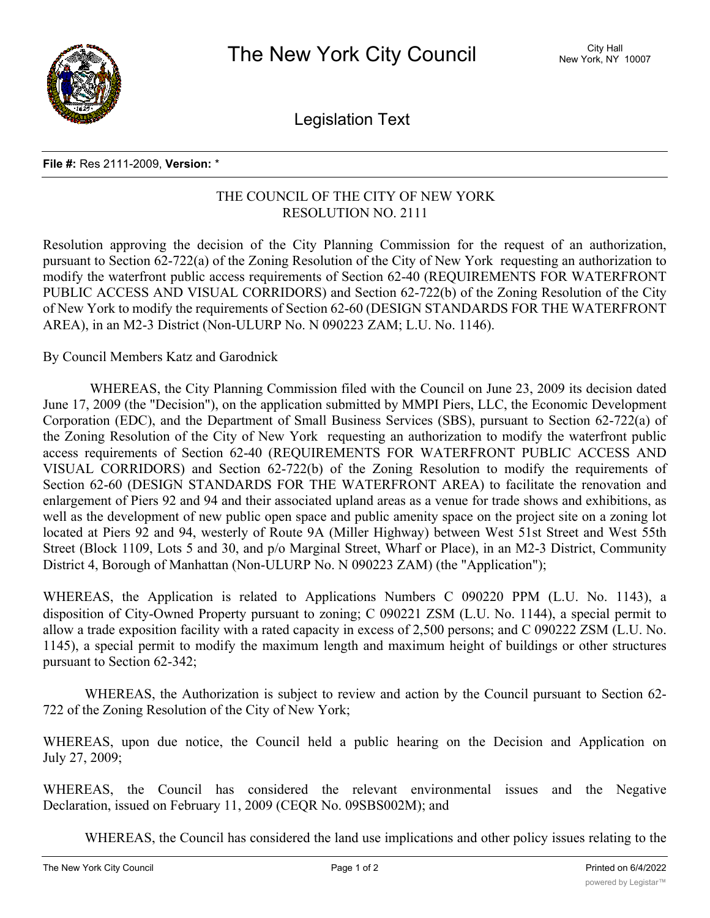

Legislation Text

## **File #:** Res 2111-2009, **Version:** \*

## THE COUNCIL OF THE CITY OF NEW YORK RESOLUTION NO. 2111

Resolution approving the decision of the City Planning Commission for the request of an authorization, pursuant to Section 62-722(a) of the Zoning Resolution of the City of New York requesting an authorization to modify the waterfront public access requirements of Section 62-40 (REQUIREMENTS FOR WATERFRONT PUBLIC ACCESS AND VISUAL CORRIDORS) and Section 62-722(b) of the Zoning Resolution of the City of New York to modify the requirements of Section 62-60 (DESIGN STANDARDS FOR THE WATERFRONT AREA), in an M2-3 District (Non-ULURP No. N 090223 ZAM; L.U. No. 1146).

By Council Members Katz and Garodnick

WHEREAS, the City Planning Commission filed with the Council on June 23, 2009 its decision dated June 17, 2009 (the "Decision"), on the application submitted by MMPI Piers, LLC, the Economic Development Corporation (EDC), and the Department of Small Business Services (SBS), pursuant to Section 62-722(a) of the Zoning Resolution of the City of New York requesting an authorization to modify the waterfront public access requirements of Section 62-40 (REQUIREMENTS FOR WATERFRONT PUBLIC ACCESS AND VISUAL CORRIDORS) and Section 62-722(b) of the Zoning Resolution to modify the requirements of Section 62-60 (DESIGN STANDARDS FOR THE WATERFRONT AREA) to facilitate the renovation and enlargement of Piers 92 and 94 and their associated upland areas as a venue for trade shows and exhibitions, as well as the development of new public open space and public amenity space on the project site on a zoning lot located at Piers 92 and 94, westerly of Route 9A (Miller Highway) between West 51st Street and West 55th Street (Block 1109, Lots 5 and 30, and p/o Marginal Street, Wharf or Place), in an M2-3 District, Community District 4, Borough of Manhattan (Non-ULURP No. N 090223 ZAM) (the "Application");

WHEREAS, the Application is related to Applications Numbers C 090220 PPM (L.U. No. 1143), a disposition of City-Owned Property pursuant to zoning; C 090221 ZSM (L.U. No. 1144), a special permit to allow a trade exposition facility with a rated capacity in excess of 2,500 persons; and C 090222 ZSM (L.U. No. 1145), a special permit to modify the maximum length and maximum height of buildings or other structures pursuant to Section 62-342;

WHEREAS, the Authorization is subject to review and action by the Council pursuant to Section 62- 722 of the Zoning Resolution of the City of New York;

WHEREAS, upon due notice, the Council held a public hearing on the Decision and Application on July 27, 2009;

WHEREAS, the Council has considered the relevant environmental issues and the Negative Declaration, issued on February 11, 2009 (CEQR No. 09SBS002M); and

WHEREAS, the Council has considered the land use implications and other policy issues relating to the